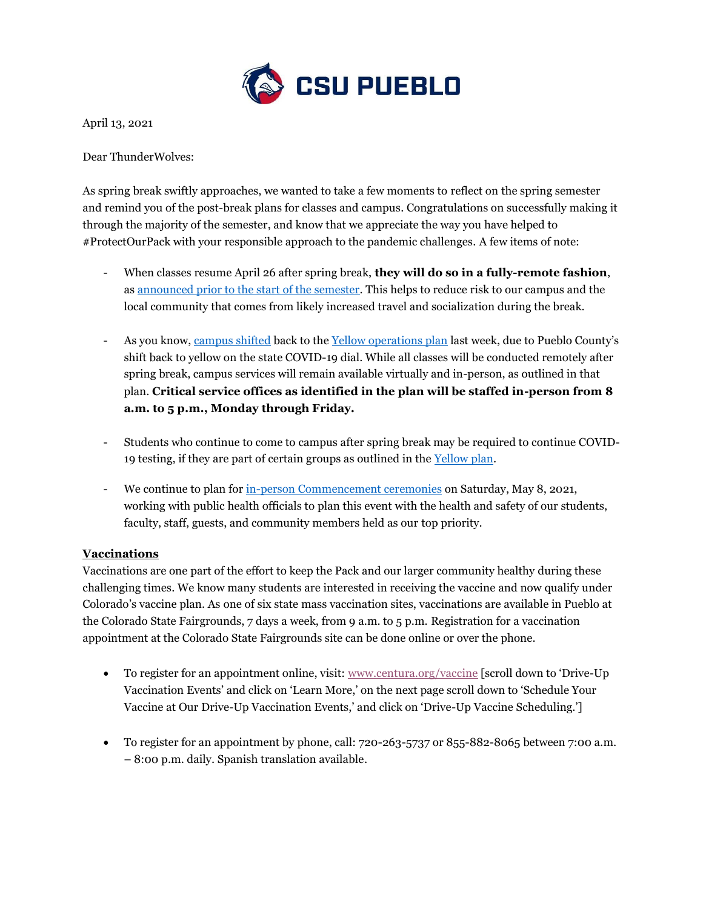

April 13, 2021

Dear ThunderWolves:

As spring break swiftly approaches, we wanted to take a few moments to reflect on the spring semester and remind you of the post-break plans for classes and campus. Congratulations on successfully making it through the majority of the semester, and know that we appreciate the way you have helped to #ProtectOurPack with your responsible approach to the pandemic challenges. A few items of note:

- When classes resume April 26 after spring break, **they will do so in a fully-remote fashion**, as [announced prior to the start of the semester.](https://www.csupueblo.edu/coronavirus/_doc/11-17-spring-joint-message.pdf) This helps to reduce risk to our campus and the local community that comes from likely increased travel and socialization during the break.
- As you know, [campus shifted](https://www.csupueblo.edu/coronavirus/_doc/04-06-campus-message.pdf) back to the [Yellow operations plan](https://www.csupueblo.edu/coronavirus/_doc/yellow-operations-plan.pdf) last week, due to Pueblo County's shift back to yellow on the state COVID-19 dial. While all classes will be conducted remotely after spring break, campus services will remain available virtually and in-person, as outlined in that plan. **Critical service offices as identified in the plan will be staffed in-person from 8 a.m. to 5 p.m., Monday through Friday.**
- Students who continue to come to campus after spring break may be required to continue COVID-19 testing, if they are part of certain groups as outlined in the [Yellow plan.](https://www.csupueblo.edu/coronavirus/_doc/yellow-operations-plan.pdf)
- We continue to plan for [in-person Commencement ceremonies](https://www.csupueblo.edu/commencement/index.html) on Saturday, May 8, 2021, working with public health officials to plan this event with the health and safety of our students, faculty, staff, guests, and community members held as our top priority.

## **Vaccinations**

Vaccinations are one part of the effort to keep the Pack and our larger community healthy during these challenging times. We know many students are interested in receiving the vaccine and now qualify under Colorado's vaccine plan. As one of six state mass vaccination sites, vaccinations are available in Pueblo at the Colorado State Fairgrounds, 7 days a week, from 9 a.m. to 5 p.m. Registration for a vaccination appointment at the Colorado State Fairgrounds site can be done online or over the phone.

- To register for an appointment online, visit: [www.centura.org/vaccine](http://www.centura.org/vaccine) [scroll down to 'Drive-Up' Vaccination Events' and click on 'Learn More,' on the next page scroll down to 'Schedule Your Vaccine at Our Drive-Up Vaccination Events,' and click on 'Drive-Up Vaccine Scheduling.']
- To register for an appointment by phone, call: 720-263-5737 or 855-882-8065 between 7:00 a.m. – 8:00 p.m. daily. Spanish translation available.